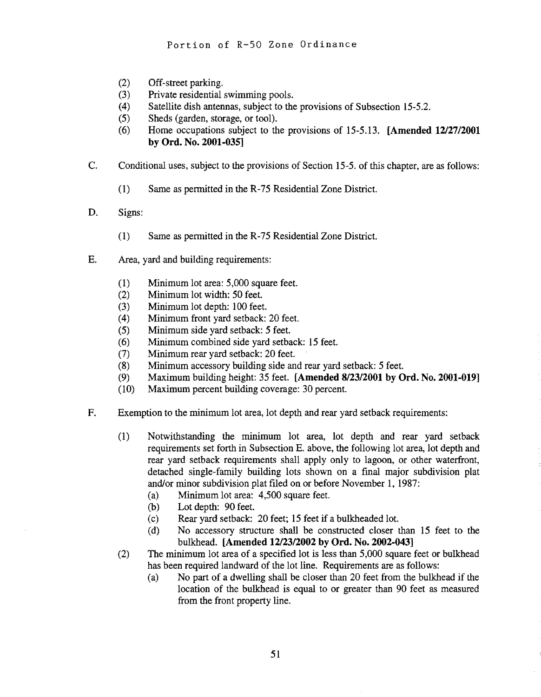- (2) Off-street parking.
- (3) Private residential swimming pools.
- (4) Satellite dish antennas, subject to the provisions of Subsection 15-5.2.
- (5) Sheds (garden, storage, or tool).
- (6) Home occupations subject to the provisions of 15-5.13. [Amended *12/2712001*  by Ord. No. 2001·035]
- C. Conditional uses, subject to the provisions of Section 15-5. of this chapter, are as follows:
	- (1) Same as permitted in the R-75 Residential Zone District.
- D. Signs:
	- (1) Same as permitted in the R-75 Residential Zone District.
- E. Area, yard and building requirements:
	- (1) Minimum lot area: 5,000 square feet.
	- (2) Minimum lot width: 50 feet.
	- (3) Minimum lot depth: 100 feet.
	- (4) Minimum front yard setback: 20 feet.
	- (5) Minimum side yard setback: 5 feet.
	- (6) Minimum combined side yard setback: 15 feet
	- (7) Minimum rear yard setback: 20 feet
	- (8) Minimum accessory building side and rear yard setback: 5 feet.
	- (9) Maximum building height: 35 feet. [Amended *8/23/2001* by Ord. No. 2001·019]
	- (10) Maximum percent building coverage: 30 percent.
- F. Exemption to the minimum lot area, lot depth and rear yard setback requirements:
	- (1) Notwithstanding the minimum lot area, lot depth and rear yard setback requirements set forth in Subsection E. above, the following lot area, lot depth and rear yard setback requirements shall apply only to lagoon, or other waterfront, detached single-family building lots shown on a final major subdivision plat and/or minor subdivision plat filed on or before November 1, 1987:
		- (a) Minimum lot area:  $4,500$  square feet.
		- (b) Lot depth: 90 feet.
		- (c) Rear yard setback: 20 feet; 15 feet if a bulkheaded lot.
		- (d) No accessory structure shall be constructed closer than 15 feet to the bulkhead. [Amended *12123/2002* by Ord. No. 2002·043]
	- (2) The minimum lot area of a specified lot is less than 5,000 square feet or bulkhead has been required landward of the lot line. Requirements are as follows:
		- (a) No part of a dwelling shall be closer than 20 feet from the bulkhead if the location of the bulkhead is equal to or greater than 90 feet as measured from the front property line.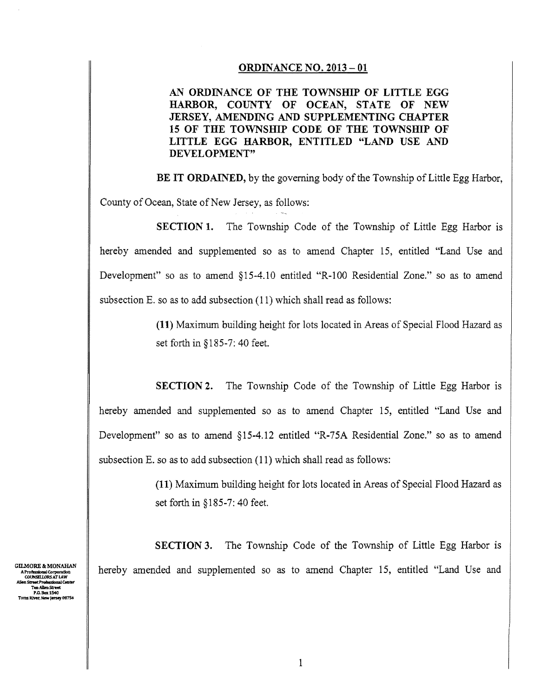## ORDINANCE NO. 2013 - 01

AN ORDINANCE OF THE TOWNSHIP OF LITTLE EGG HARBOR, COUNTY OF OCEAN, STATE OF NEW JERSEY, AMENDING AND SUPPLEMENTING CHAPTER 15 OF THE TOWNSHIP CODE OF THE TOWNSHIP OF LITTLE EGG HARBOR, ENTITLED "LAND USE AND DEVELOPMENT"

BE IT ORDAINED, by the governing body of the Township of Little Egg Harbor,

County of Ocean, State of New Jersey, as follows:

SECTION 1. The Township Code of the Township of Little Egg Harbor is hereby amended and supplemented so as to amend Chapter 15, entitled "Land Use and Development" so as to amend §15-4.1O entitled "R-I00 Residential Zone." so as to amend subsection E. so as to add subsection (11) which shall read as follows:

> (11) Maximum building height for lots located in Areas of Special Flood Hazard as set forth in §185-7: 40 feet.

SECTION 2. The Township Code of the Township of Little Egg Harbor is hereby amended and supplemented so as to amend Chapter 15, entitled "Land Use and Development" so as to amend §15-4.12 entitled "R-75A Residential Zone." so as to amend subsection E. so as to add subsection (11) which shall read as follows:

> (11) Maximum building height for lots located in Areas of Special Flood Hazard as set forth in § 185-7: 40 feet.

**SECTION 3.** The Township Code of the Township of Little Egg Harbor is hereby amended and supplemented so as to amend Chapter 15, entitled "Land Use and

GILMORE & MONAHAN A Professional Corporation<br>COUNSELLORS AT LAW reet Professional Cet<br>"Ten Allen Street fessional Corporation<br>T.NSELLORS AT LAW<br>Teet Professional Center<br>Ten Allen Street P.O. Bax 1540<br>Toms River, New Jersey 08754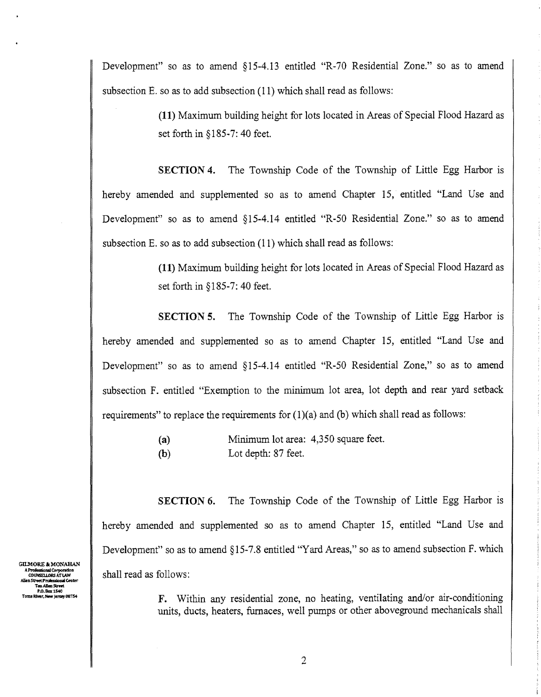Development" so as to amend §15-4.13 entitled "R-70 Residential Zone." so as to amend subsection E. so as to add subsection (11) which shall read as follows:

> (11) Maximum building height for lots located in Areas of Special Flood Hazard as set forth in § 185-7: 40 feet.

SECTION 4. The Township Code of the Township of Little Egg Harbor is hereby amended and supplemented so as to amend Chapter 15, entitled "Land Use and Development" so as to amend §I5-4.l4 entitled "R-50 Residential Zone." so as to amend subsection E. so as to add subsection (11) which shall read as follows:

> (11) Maximum building height for lots located in Areas of Special Flood Hazard as set forth in § 185-7: 40 feet.

SECTION 5. The Township Code of the Township of Little Egg Harbor is hereby amended and supplemented so as to amend Chapter 15, entitled "Land Use and Development" so as to amend §I5-4.14 entitled "R-50 Residential Zone," so as to amend subsection F. entitled "Exemption to the minimum lot area, lot depth and rear yard setback requirements" to replace the requirements for  $(1)(a)$  and  $(b)$  which shall read as follows:

> (a) Minimum lot area: 4,350 square feet. (b) Lot depth: 87 feet.

SECTION 6. The Township Code of the Township of Little Egg Harbor is hereby amended and supplemented so as to amend Chapter 15, entitled "Land Use and Development" so as to amend §15-7.8 entitled "Yard Areas," so as to amend subsection F. which shall read as follows:

> F. Within any residential zone, no heating, ventilating and/or air-conditioning units, ducts, heaters, furnaces, well pumps or other aboveground mechanicals shall

GILMORE & MONAHAN AProfessIonal Corpomlon COIlNSEl.l.ORSATIAW A Professional Corporation<br>COUNSELLORS AT LAW<br>Allen Street Professional Center<br>Ten Allen Street P.O. Box 1540 Toms River, New Jersey 08754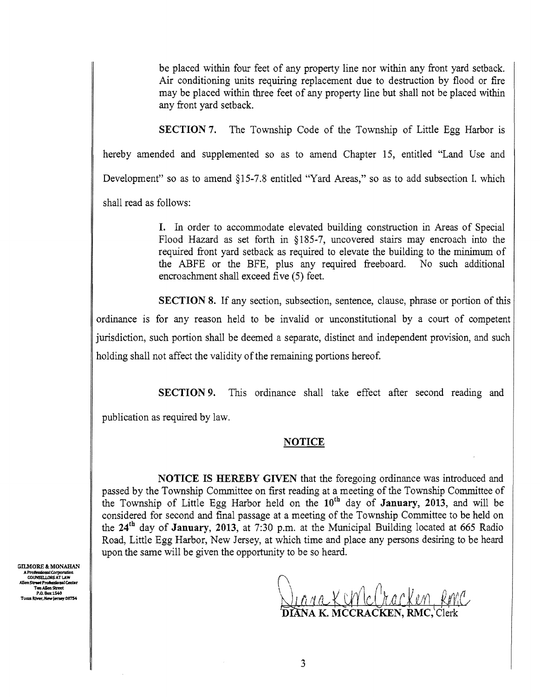be placed within four feet of any property line nor within any front yard setback. Air conditioning units requiring replacement due to destruction by flood or fire may be placed within three feet of any property line but shall not be placed within any front yard setback.

SECTION 7. The Township Code of the Township of Little Egg Harbor is hereby amended and supplemented so as to amend Chapter 15, entitled "Land Use and Development" so as to amend §15-7.8 entitled "Yard Areas," so as to add subsection I. which shall read as follows:

> I. In order to accommodate elevated building construction in Areas of Special Flood Hazard as set forth in §185-7, uncovered stairs may encroach into the required front yard setback as required to elevate the building to the minimum of the ABFE or the BFE, plus any required freeboard. No such additional encroachment shall exceed five (5) feet.

SECTION 8. If any section, subsection, sentence, clause, phrase or portion of this ordinance is for any reason held to be invalid or unconstitutional by a court of competent jurisdiction, such portion shall be deemed a separate, distinct and independent provision, and such holding shall not affect the validity of the remaining portions hereof.

SECTION 9. This ordinance shall take effect after second reading and

publication as required by law.

## NOTICE

NOTICE IS HEREBY GIVEN that the foregoing ordinance was introduced and passed by the Township Committee on first reading at a meeting of the Township Committee of the Township of Little Egg Harbor held on the 10th day of January, 2013, and will be considered for second and final passage at a meeting of the Township Committee to be held on the  $24<sup>th</sup>$  day of **January**, 2013, at 7:30 p.m. at the Municipal Building located at 665 Radio Road, Little Egg Harbor, New Jersey, at which time and place any persons desiring to be heard upon the same will be given the opportunity to be so heard.

GILMORE & MONAHAN A Professional Corporation<br>COUNSELLORS AT LAW ant Professional Ce Ten Allen Stre P.O. Box 1540 Toms River, New Jersey 08754